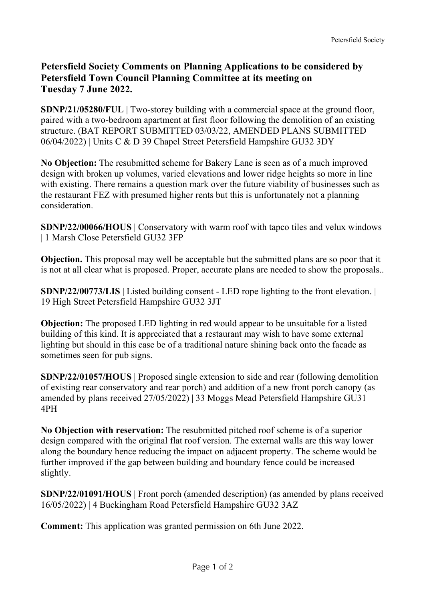## **Petersfield Society Comments on Planning Applications to be considered by Petersfield Town Council Planning Committee at its meeting on Tuesday 7 June 2022.**

**SDNP/21/05280/FUL** | Two-storey building with a commercial space at the ground floor, paired with a two-bedroom apartment at first floor following the demolition of an existing structure. (BAT REPORT SUBMITTED 03/03/22, AMENDED PLANS SUBMITTED 06/04/2022) | Units C & D 39 Chapel Street Petersfield Hampshire GU32 3DY

**No Objection:** The resubmitted scheme for Bakery Lane is seen as of a much improved design with broken up volumes, varied elevations and lower ridge heights so more in line with existing. There remains a question mark over the future viability of businesses such as the restaurant FEZ with presumed higher rents but this is unfortunately not a planning consideration.

**SDNP/22/00066/HOUS** | Conservatory with warm roof with tapco tiles and velux windows | 1 Marsh Close Petersfield GU32 3FP

**Objection.** This proposal may well be acceptable but the submitted plans are so poor that it is not at all clear what is proposed. Proper, accurate plans are needed to show the proposals..

**SDNP/22/00773/LIS** | Listed building consent - LED rope lighting to the front elevation. | 19 High Street Petersfield Hampshire GU32 3JT

**Objection:** The proposed LED lighting in red would appear to be unsuitable for a listed building of this kind. It is appreciated that a restaurant may wish to have some external lighting but should in this case be of a traditional nature shining back onto the facade as sometimes seen for pub signs.

**SDNP/22/01057/HOUS** | Proposed single extension to side and rear (following demolition of existing rear conservatory and rear porch) and addition of a new front porch canopy (as amended by plans received 27/05/2022) | 33 Moggs Mead Petersfield Hampshire GU31 4PH

**No Objection with reservation:** The resubmitted pitched roof scheme is of a superior design compared with the original flat roof version. The external walls are this way lower along the boundary hence reducing the impact on adjacent property. The scheme would be further improved if the gap between building and boundary fence could be increased slightly.

**SDNP/22/01091/HOUS** | Front porch (amended description) (as amended by plans received 16/05/2022) | 4 Buckingham Road Petersfield Hampshire GU32 3AZ

**Comment:** This application was granted permission on 6th June 2022.